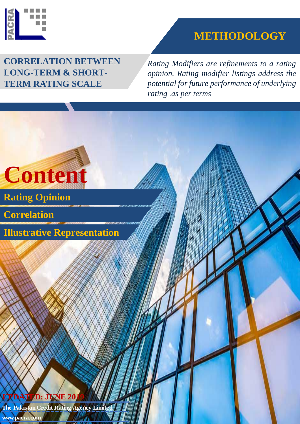

## **METHODOLOGY**

**CORRELATION BETWEEN LONG-TERM & SHORT-TERM RATING SCALE**

*Rating Modifiers are refinements to a rating opinion. Rating modifier listings address the potential for future performance of underlying rating .as per terms*

**Content Illustrative Representation Correlation Rating Opinion UPDATED: JUNE 20 The Pakistan Credit Rating Agency Limited www.pacra.com**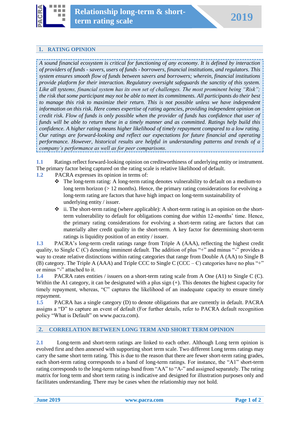

## **1. RATING OPINION**

*A sound financial ecosystem is critical for functioning of any economy. It is defined by interaction of providers of funds - savers, users of funds - borrowers, financial institutions, and regulators. This system ensures smooth flow of funds between savers and borrowers; wherein, financial institutions provide platform for their interaction. Regulatory oversight safeguards the sanctity of this system. Like all systems, financial system has its own set of challenges. The most prominent being "Risk"; the risk that some participant may not be able to meet its commitments. All participants do their best to manage this risk to maximize their return. This is not possible unless we have independent information on this risk. Here comes expertise of rating agencies, providing independent opinion on credit risk. Flow of funds is only possible when the provider of funds has confidence that user of funds will be able to return these in a timely manner and as committed. Ratings help build this confidence. A higher rating means higher likelihood of timely repayment compared to a low rating. Our ratings are forward-looking and reflect our expectations for future financial and operating performance. However, historical results are helpful in understanding patterns and trends of a company's performance as well as for peer comparisons.*

**1.1** Ratings reflect forward-looking opinion on creditworthiness of underlying entity or instrument. The primary factor being captured on the rating scale is relative likelihood of default.

- **1.2** PACRA expresses its opinion in terms of:
	- The long-term rating: A long-term rating denotes vulnerability to default on a medium-to long term horizon (> 12 months). Hence, the primary rating considerations for evolving a long-term rating are factors that have high impact on long-term sustainability of underlying entity / issuer.
	- $\div$  ii. The short-term rating (where applicable): A short-term rating is an opinion on the shortterm vulnerability to default for obligations coming due within 12-months' time. Hence, the primary rating considerations for evolving a short-term rating are factors that can materially alter credit quality in the short-term. A key factor for determining short-term ratings is liquidity position of an entity / issuer.

**1.3** PACRA's long-term credit ratings range from Triple A (AAA), reflecting the highest credit quality, to Single C (C) denoting imminent default. The addition of plus "+" and minus "-" provides a way to create relative distinctions within rating categories that range from Double A (AA) to Single B (B) category. The Triple A (AAA) and Triple CCC to Single C (CCC – C) categories have no plus "+" or minus "-" attached to it.

**1.4** PACRA rates entities / issuers on a short-term rating scale from A One (A1) to Single C (C). Within the A1 category, it can be designated with a plus sign  $(+)$ . This denotes the highest capacity for timely repayment, whereas, "C" captures the likelihood of an inadequate capacity to ensure timely repayment.

**1.5** PACRA has a single category (D) to denote obligations that are currently in default. PACRA assigns a "D" to capture an event of default (For further details, refer to PACRA default recognition policy "What is Default" on www.pacra.com).

## **2. CORRELATION BETWEEN LONG TERM AND SHORT TERM OPINION**

**2.1** Long-term and short-term ratings are linked to each other. Although Long term opinion is evolved first and then annexed with supporting short term scale. Two different Long terms ratings may carry the same short term rating. This is due to the reason that there are fewer short-term rating grades, each short-term rating corresponds to a band of long-term ratings. For instance, the "A1" short-term rating corresponds to the long-term ratings band from "AA" to "A-" and assigned separately. The rating matrix for long term and short term rating is indicative and designed for illustration purposes only and facilitates understanding. There may be cases when the relationship may not hold.